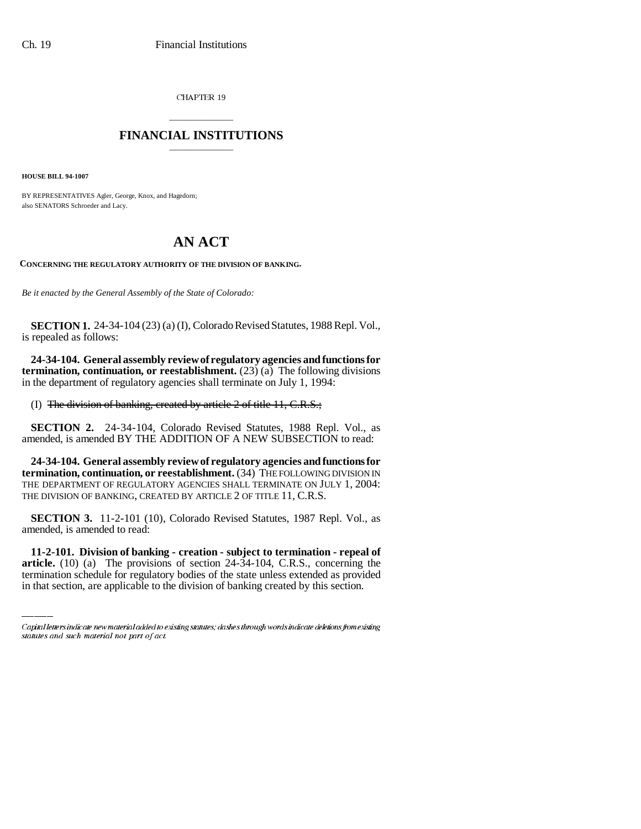CHAPTER 19

## \_\_\_\_\_\_\_\_\_\_\_\_\_\_\_ **FINANCIAL INSTITUTIONS** \_\_\_\_\_\_\_\_\_\_\_\_\_\_\_

**HOUSE BILL 94-1007**

BY REPRESENTATIVES Agler, George, Knox, and Hagedorn; also SENATORS Schroeder and Lacy.

## **AN ACT**

**CONCERNING THE REGULATORY AUTHORITY OF THE DIVISION OF BANKING.**

*Be it enacted by the General Assembly of the State of Colorado:*

**SECTION 1.** 24-34-104 (23) (a) (I), Colorado Revised Statutes, 1988 Repl. Vol., is repealed as follows:

**24-34-104. General assembly review of regulatory agencies and functions for termination, continuation, or reestablishment.** (23) (a) The following divisions in the department of regulatory agencies shall terminate on July 1, 1994:

(I) The division of banking, created by article 2 of title 11, C.R.S.;

**SECTION 2.** 24-34-104, Colorado Revised Statutes, 1988 Repl. Vol., as amended, is amended BY THE ADDITION OF A NEW SUBSECTION to read:

**24-34-104. General assembly review of regulatory agencies and functions for termination, continuation, or reestablishment.** (34) THE FOLLOWING DIVISION IN THE DEPARTMENT OF REGULATORY AGENCIES SHALL TERMINATE ON JULY 1, 2004: THE DIVISION OF BANKING, CREATED BY ARTICLE 2 OF TITLE 11, C.R.S.

amended, is amended to read: **SECTION 3.** 11-2-101 (10), Colorado Revised Statutes, 1987 Repl. Vol., as

**11-2-101. Division of banking - creation - subject to termination - repeal of article.** (10) (a) The provisions of section 24-34-104, C.R.S., concerning the termination schedule for regulatory bodies of the state unless extended as provided in that section, are applicable to the division of banking created by this section.

Capital letters indicate new material added to existing statutes; dashes through words indicate deletions from existing statutes and such material not part of act.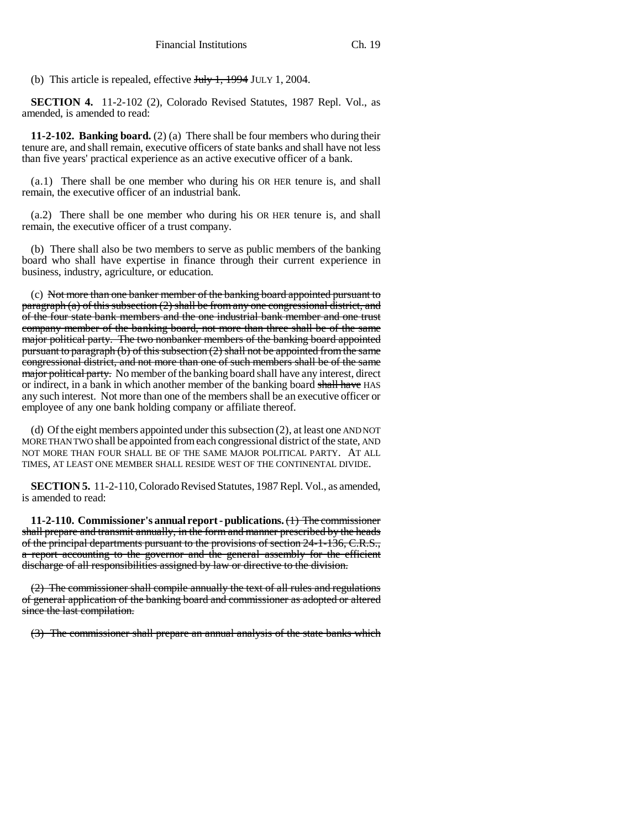(b) This article is repealed, effective  $J_{\text{t}}/J_{\text{t}}$ , 1994 JULY 1, 2004.

**SECTION 4.** 11-2-102 (2), Colorado Revised Statutes, 1987 Repl. Vol., as amended, is amended to read:

**11-2-102. Banking board.** (2) (a) There shall be four members who during their tenure are, and shall remain, executive officers of state banks and shall have not less than five years' practical experience as an active executive officer of a bank.

(a.1) There shall be one member who during his OR HER tenure is, and shall remain, the executive officer of an industrial bank.

(a.2) There shall be one member who during his OR HER tenure is, and shall remain, the executive officer of a trust company.

(b) There shall also be two members to serve as public members of the banking board who shall have expertise in finance through their current experience in business, industry, agriculture, or education.

(c) Not more than one banker member of the banking board appointed pursuant to paragraph (a) of this subsection (2) shall be from any one congressional district, and of the four state bank members and the one industrial bank member and one trust company member of the banking board, not more than three shall be of the same major political party. The two nonbanker members of the banking board appointed pursuant to paragraph (b) of this subsection (2) shall not be appointed from the same congressional district, and not more than one of such members shall be of the same major political party. No member of the banking board shall have any interest, direct or indirect, in a bank in which another member of the banking board shall have HAS any such interest. Not more than one of the members shall be an executive officer or employee of any one bank holding company or affiliate thereof.

(d) Of the eight members appointed under this subsection (2), at least one AND NOT MORE THAN TWO shall be appointed from each congressional district of the state, AND NOT MORE THAN FOUR SHALL BE OF THE SAME MAJOR POLITICAL PARTY. AT ALL TIMES, AT LEAST ONE MEMBER SHALL RESIDE WEST OF THE CONTINENTAL DIVIDE.

**SECTION 5.** 11-2-110, Colorado Revised Statutes, 1987 Repl. Vol., as amended, is amended to read:

**11-2-110. Commissioner's annual report - publications.** (1) The commissioner shall prepare and transmit annually, in the form and manner prescribed by the heads of the principal departments pursuant to the provisions of section 24-1-136, C.R.S., a report accounting to the governor and the general assembly for the efficient discharge of all responsibilities assigned by law or directive to the division.

(2) The commissioner shall compile annually the text of all rules and regulations of general application of the banking board and commissioner as adopted or altered since the last compilation.

(3) The commissioner shall prepare an annual analysis of the state banks which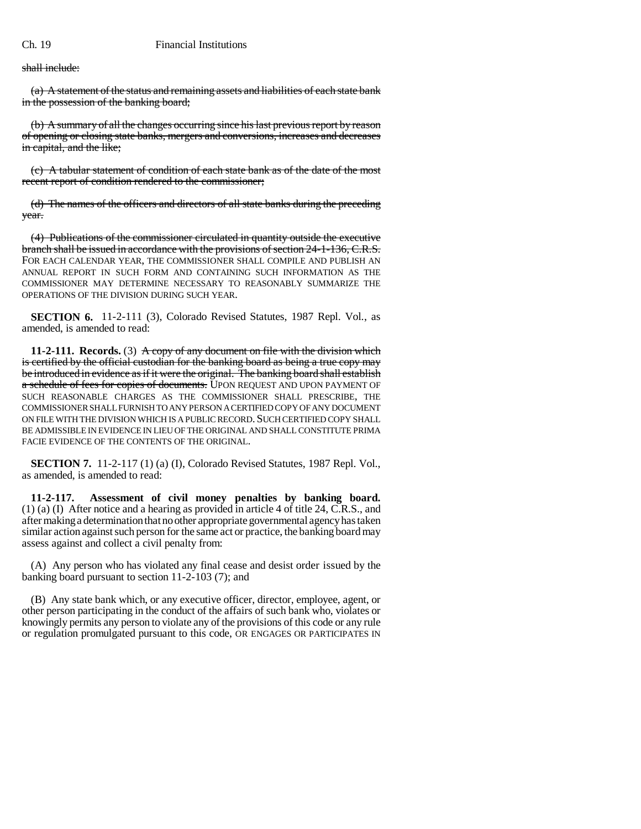shall include:

(a) A statement of the status and remaining assets and liabilities of each state bank in the possession of the banking board;

(b) A summary of all the changes occurring since his last previous report by reason of opening or closing state banks, mergers and conversions, increases and decreases in capital, and the like;

(c) A tabular statement of condition of each state bank as of the date of the most recent report of condition rendered to the commissioner;

(d) The names of the officers and directors of all state banks during the preceding year.

(4) Publications of the commissioner circulated in quantity outside the executive branch shall be issued in accordance with the provisions of section 24-1-136, C.R.S. FOR EACH CALENDAR YEAR, THE COMMISSIONER SHALL COMPILE AND PUBLISH AN ANNUAL REPORT IN SUCH FORM AND CONTAINING SUCH INFORMATION AS THE COMMISSIONER MAY DETERMINE NECESSARY TO REASONABLY SUMMARIZE THE OPERATIONS OF THE DIVISION DURING SUCH YEAR.

**SECTION 6.** 11-2-111 (3), Colorado Revised Statutes, 1987 Repl. Vol., as amended, is amended to read:

**11-2-111.** Records. (3) A copy of any document on file with the division which is certified by the official custodian for the banking board as being a true copy may be introduced in evidence as if it were the original. The banking board shall establish a schedule of fees for copies of documents. UPON REQUEST AND UPON PAYMENT OF SUCH REASONABLE CHARGES AS THE COMMISSIONER SHALL PRESCRIBE, THE COMMISSIONER SHALL FURNISH TO ANY PERSON A CERTIFIED COPY OF ANY DOCUMENT ON FILE WITH THE DIVISION WHICH IS A PUBLIC RECORD. SUCH CERTIFIED COPY SHALL BE ADMISSIBLE IN EVIDENCE IN LIEU OF THE ORIGINAL AND SHALL CONSTITUTE PRIMA FACIE EVIDENCE OF THE CONTENTS OF THE ORIGINAL.

**SECTION 7.** 11-2-117 (1) (a) (I), Colorado Revised Statutes, 1987 Repl. Vol., as amended, is amended to read:

**11-2-117. Assessment of civil money penalties by banking board.** (1) (a) (I) After notice and a hearing as provided in article 4 of title 24, C.R.S., and after making a determination that no other appropriate governmental agency has taken similar action against such person for the same act or practice, the banking board may assess against and collect a civil penalty from:

(A) Any person who has violated any final cease and desist order issued by the banking board pursuant to section 11-2-103 (7); and

(B) Any state bank which, or any executive officer, director, employee, agent, or other person participating in the conduct of the affairs of such bank who, violates or knowingly permits any person to violate any of the provisions of this code or any rule or regulation promulgated pursuant to this code, OR ENGAGES OR PARTICIPATES IN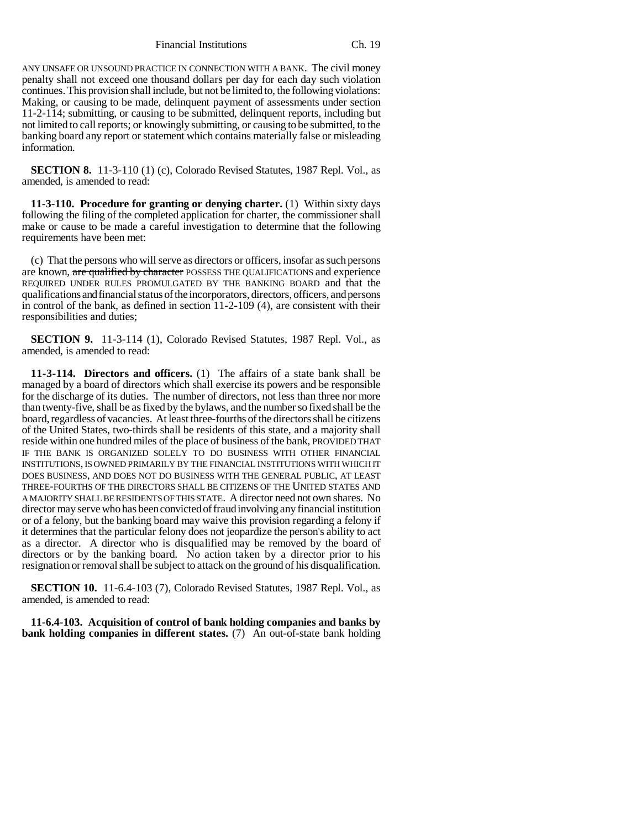Financial Institutions Ch. 19

ANY UNSAFE OR UNSOUND PRACTICE IN CONNECTION WITH A BANK. The civil money penalty shall not exceed one thousand dollars per day for each day such violation continues. This provision shall include, but not be limited to, the following violations: Making, or causing to be made, delinquent payment of assessments under section 11-2-114; submitting, or causing to be submitted, delinquent reports, including but not limited to call reports; or knowingly submitting, or causing to be submitted, to the banking board any report or statement which contains materially false or misleading information.

**SECTION 8.** 11-3-110 (1) (c), Colorado Revised Statutes, 1987 Repl. Vol., as amended, is amended to read:

**11-3-110. Procedure for granting or denying charter.** (1) Within sixty days following the filing of the completed application for charter, the commissioner shall make or cause to be made a careful investigation to determine that the following requirements have been met:

(c) That the persons who will serve as directors or officers, insofar as such persons are known, are qualified by character POSSESS THE QUALIFICATIONS and experience REQUIRED UNDER RULES PROMULGATED BY THE BANKING BOARD and that the qualifications and financial status of the incorporators, directors, officers, and persons in control of the bank, as defined in section 11-2-109 (4), are consistent with their responsibilities and duties;

**SECTION 9.** 11-3-114 (1), Colorado Revised Statutes, 1987 Repl. Vol., as amended, is amended to read:

**11-3-114. Directors and officers.** (1) The affairs of a state bank shall be managed by a board of directors which shall exercise its powers and be responsible for the discharge of its duties. The number of directors, not less than three nor more than twenty-five, shall be as fixed by the bylaws, and the number so fixed shall be the board, regardless of vacancies. At least three-fourths of the directors shall be citizens of the United States, two-thirds shall be residents of this state, and a majority shall reside within one hundred miles of the place of business of the bank, PROVIDED THAT IF THE BANK IS ORGANIZED SOLELY TO DO BUSINESS WITH OTHER FINANCIAL INSTITUTIONS, IS OWNED PRIMARILY BY THE FINANCIAL INSTITUTIONS WITH WHICH IT DOES BUSINESS, AND DOES NOT DO BUSINESS WITH THE GENERAL PUBLIC, AT LEAST THREE-FOURTHS OF THE DIRECTORS SHALL BE CITIZENS OF THE UNITED STATES AND A MAJORITY SHALL BE RESIDENTS OF THIS STATE. A director need not own shares. No director may serve who has been convicted of fraud involving any financial institution or of a felony, but the banking board may waive this provision regarding a felony if it determines that the particular felony does not jeopardize the person's ability to act as a director. A director who is disqualified may be removed by the board of directors or by the banking board. No action taken by a director prior to his resignation or removal shall be subject to attack on the ground of his disqualification.

**SECTION 10.** 11-6.4-103 (7), Colorado Revised Statutes, 1987 Repl. Vol., as amended, is amended to read:

**11-6.4-103. Acquisition of control of bank holding companies and banks by bank holding companies in different states.** (7) An out-of-state bank holding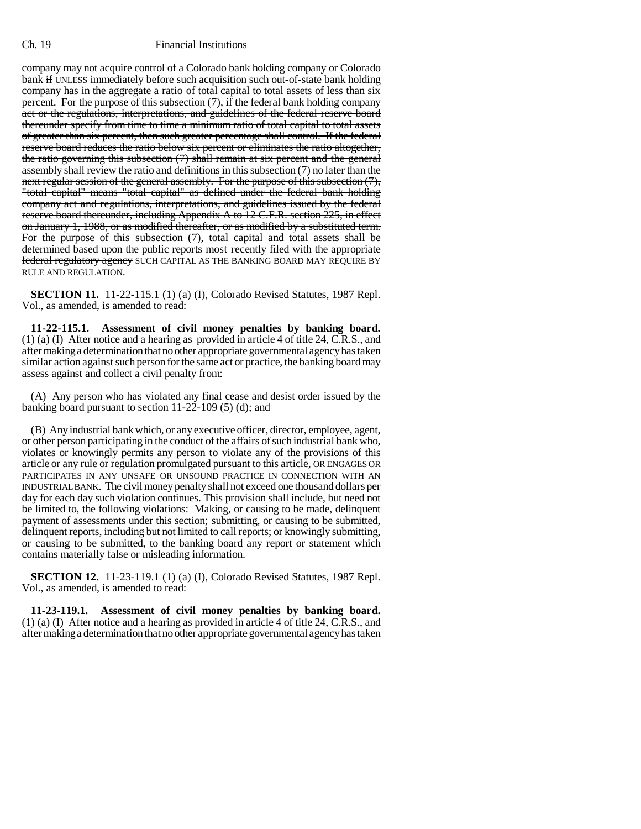## Ch. 19 Financial Institutions

company may not acquire control of a Colorado bank holding company or Colorado bank if UNLESS immediately before such acquisition such out-of-state bank holding company has in the aggregate a ratio of total capital to total assets of less than six percent. For the purpose of this subsection (7), if the federal bank holding company act or the regulations, interpretations, and guidelines of the federal reserve board thereunder specify from time to time a minimum ratio of total capital to total assets of greater than six percent, then such greater percentage shall control. If the federal reserve board reduces the ratio below six percent or eliminates the ratio altogether, the ratio governing this subsection (7) shall remain at six percent and the general assembly shall review the ratio and definitions in this subsection (7) no later than the next regular session of the general assembly. For the purpose of this subsection (7), "total capital" means "total capital" as defined under the federal bank holding company act and regulations, interpretations, and guidelines issued by the federal reserve board thereunder, including Appendix A to 12 C.F.R. section 225, in effect on January 1, 1988, or as modified thereafter, or as modified by a substituted term. For the purpose of this subsection (7), total capital and total assets shall be determined based upon the public reports most recently filed with the appropriate federal regulatory agency SUCH CAPITAL AS THE BANKING BOARD MAY REQUIRE BY RULE AND REGULATION.

**SECTION 11.** 11-22-115.1 (1) (a) (I), Colorado Revised Statutes, 1987 Repl. Vol., as amended, is amended to read:

**11-22-115.1. Assessment of civil money penalties by banking board.** (1) (a) (I) After notice and a hearing as provided in article 4 of title 24, C.R.S., and after making a determination that no other appropriate governmental agency has taken similar action against such person for the same act or practice, the banking board may assess against and collect a civil penalty from:

(A) Any person who has violated any final cease and desist order issued by the banking board pursuant to section 11-22-109 (5) (d); and

(B) Any industrial bank which, or any executive officer, director, employee, agent, or other person participating in the conduct of the affairs of such industrial bank who, violates or knowingly permits any person to violate any of the provisions of this article or any rule or regulation promulgated pursuant to this article, OR ENGAGES OR PARTICIPATES IN ANY UNSAFE OR UNSOUND PRACTICE IN CONNECTION WITH AN INDUSTRIAL BANK. The civil money penalty shall not exceed one thousand dollars per day for each day such violation continues. This provision shall include, but need not be limited to, the following violations: Making, or causing to be made, delinquent payment of assessments under this section; submitting, or causing to be submitted, delinquent reports, including but not limited to call reports; or knowingly submitting, or causing to be submitted, to the banking board any report or statement which contains materially false or misleading information.

**SECTION 12.** 11-23-119.1 (1) (a) (I), Colorado Revised Statutes, 1987 Repl. Vol., as amended, is amended to read:

**11-23-119.1. Assessment of civil money penalties by banking board.** (1) (a) (I) After notice and a hearing as provided in article 4 of title 24, C.R.S., and after making a determination that no other appropriate governmental agency has taken